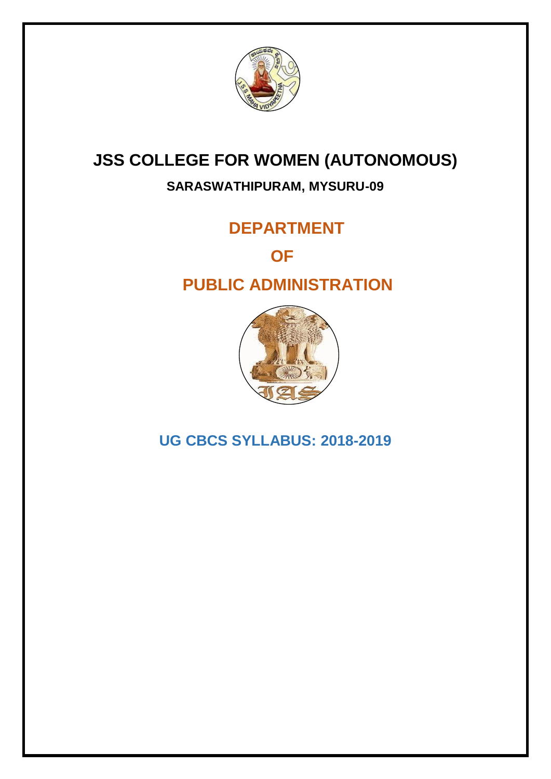

# **JSS COLLEGE FOR WOMEN (AUTONOMOUS)**

# **SARASWATHIPURAM, MYSURU-09**

# **DEPARTMENT**

*<u> OFFICIAL CONSTRUCTION</u>* 

# **PUBLIC ADMINISTRATION**



**UG CBCS SYLLABUS: 2018-2019**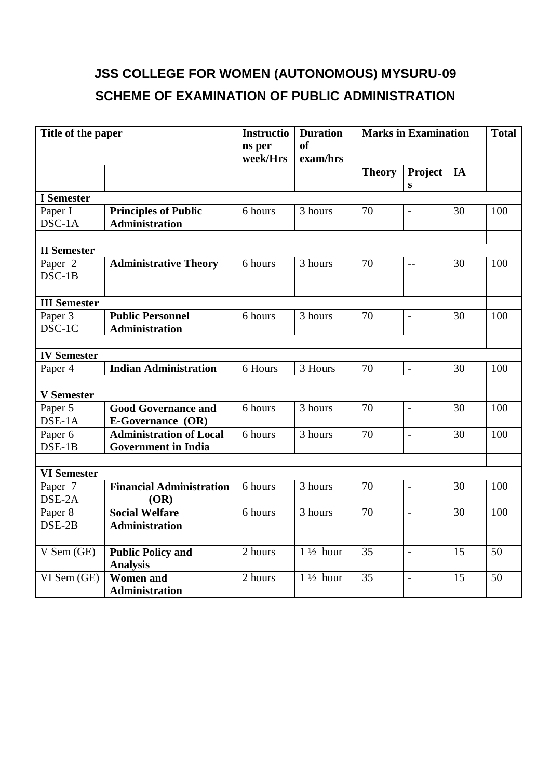# **JSS COLLEGE FOR WOMEN (AUTONOMOUS) MYSURU-09 SCHEME OF EXAMINATION OF PUBLIC ADMINISTRATION**

| Title of the paper   |                                 | <b>Instructio</b><br>ns per<br>week/Hrs | <b>Duration</b><br>of<br>exam/hrs | <b>Marks in Examination</b> |                          | <b>Total</b> |     |
|----------------------|---------------------------------|-----------------------------------------|-----------------------------------|-----------------------------|--------------------------|--------------|-----|
|                      |                                 |                                         |                                   | <b>Theory</b>               | Project<br>S             | IA           |     |
| <b>I</b> Semester    |                                 |                                         |                                   |                             |                          |              |     |
| Paper I              | <b>Principles of Public</b>     | 6 hours                                 | 3 hours                           | 70                          | $\overline{a}$           | 30           | 100 |
| DSC-1A               | <b>Administration</b>           |                                         |                                   |                             |                          |              |     |
|                      |                                 |                                         |                                   |                             |                          |              |     |
| <b>II</b> Semester   |                                 |                                         |                                   |                             |                          |              |     |
| Paper 2              | <b>Administrative Theory</b>    | 6 hours                                 | 3 hours                           | 70                          | $-$                      | 30           | 100 |
| DSC-1B               |                                 |                                         |                                   |                             |                          |              |     |
|                      |                                 |                                         |                                   |                             |                          |              |     |
| <b>III</b> Semester  |                                 |                                         |                                   |                             |                          |              |     |
| Paper 3              | <b>Public Personnel</b>         | 6 hours                                 | 3 hours                           | 70                          | $\overline{a}$           | 30           | 100 |
| DSC-1C               | <b>Administration</b>           |                                         |                                   |                             |                          |              |     |
| <b>IV Semester</b>   |                                 |                                         |                                   |                             |                          |              |     |
| Paper 4              | <b>Indian Administration</b>    | 6 Hours                                 | 3 Hours                           | 70                          | $\frac{1}{2}$            | 30           | 100 |
|                      |                                 |                                         |                                   |                             |                          |              |     |
| <b>V</b> Semester    |                                 |                                         |                                   |                             |                          |              |     |
| Paper 5              | <b>Good Governance and</b>      | 6 hours                                 | 3 hours                           | 70                          | $\overline{\phantom{a}}$ | 30           | 100 |
| DSE-1A               | <b>E-Governance (OR)</b>        |                                         |                                   |                             |                          |              |     |
| Paper 6              | <b>Administration of Local</b>  | 6 hours                                 | 3 hours                           | 70                          | $\overline{a}$           | 30           | 100 |
| $DSE-1B$             | <b>Government</b> in India      |                                         |                                   |                             |                          |              |     |
|                      |                                 |                                         |                                   |                             |                          |              |     |
| <b>VI</b> Semester   |                                 |                                         |                                   |                             |                          |              |     |
| Paper $\overline{7}$ | <b>Financial Administration</b> | 6 hours                                 | 3 hours                           | 70                          | $\overline{a}$           | 30           | 100 |
| DSE-2A               | (OR)                            |                                         |                                   |                             |                          |              |     |
| Paper 8              | <b>Social Welfare</b>           | 6 hours                                 | 3 hours                           | 70                          | $\overline{a}$           | 30           | 100 |
| DSE-2B               | <b>Administration</b>           |                                         |                                   |                             |                          |              |     |
|                      |                                 |                                         |                                   |                             |                          |              |     |
| V Sem (GE)           | <b>Public Policy and</b>        | 2 hours                                 | $1\frac{1}{2}$ hour               | 35                          | $\overline{a}$           | 15           | 50  |
|                      | <b>Analysis</b>                 |                                         |                                   |                             |                          |              |     |
| VI Sem (GE)          | <b>Women</b> and                | 2 hours                                 | $1\frac{1}{2}$ hour               | 35                          | $\overline{a}$           | 15           | 50  |
|                      | <b>Administration</b>           |                                         |                                   |                             |                          |              |     |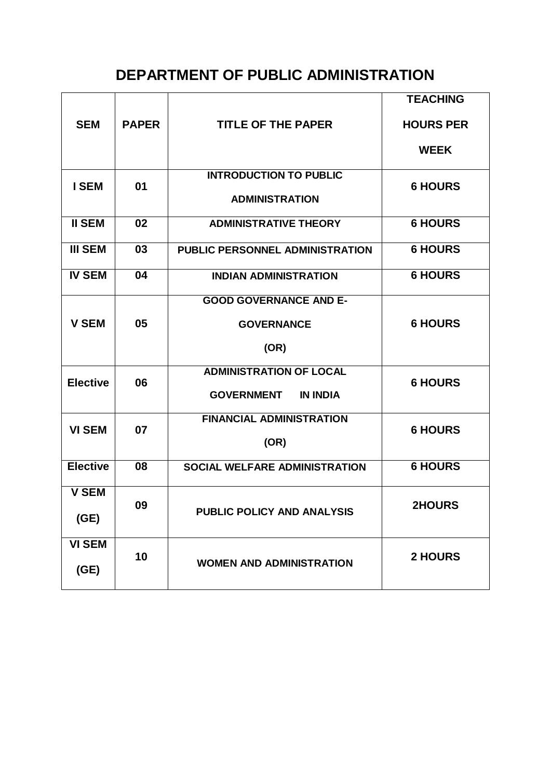# **DEPARTMENT OF PUBLIC ADMINISTRATION**

| <b>SEM</b>            | <b>PAPER</b> | <b>TITLE OF THE PAPER</b>                                              | <b>TEACHING</b><br><b>HOURS PER</b> |
|-----------------------|--------------|------------------------------------------------------------------------|-------------------------------------|
|                       |              |                                                                        | <b>WEEK</b>                         |
| <b>ISEM</b>           | 01           | <b>INTRODUCTION TO PUBLIC</b><br><b>ADMINISTRATION</b>                 | <b>6 HOURS</b>                      |
| <b>II SEM</b>         | 02           | <b>ADMINISTRATIVE THEORY</b>                                           | <b>6 HOURS</b>                      |
| <b>III SEM</b>        | 03           | <b>PUBLIC PERSONNEL ADMINISTRATION</b>                                 | <b>6 HOURS</b>                      |
| <b>IV SEM</b>         | 04           | <b>INDIAN ADMINISTRATION</b>                                           | <b>6 HOURS</b>                      |
| <b>V SEM</b>          | 05           | <b>GOOD GOVERNANCE AND E-</b><br><b>GOVERNANCE</b><br>(OR)             | <b>6 HOURS</b>                      |
| <b>Elective</b>       | 06           | <b>ADMINISTRATION OF LOCAL</b><br><b>IN INDIA</b><br><b>GOVERNMENT</b> | <b>6 HOURS</b>                      |
| <b>VI SEM</b>         | 07           | <b>FINANCIAL ADMINISTRATION</b><br>(OR)                                | <b>6 HOURS</b>                      |
| <b>Elective</b>       | 08           | <b>SOCIAL WELFARE ADMINISTRATION</b>                                   | <b>6 HOURS</b>                      |
| <b>V SEM</b><br>(GE)  | 09           | <b>PUBLIC POLICY AND ANALYSIS</b>                                      | <b>2HOURS</b>                       |
| <b>VI SEM</b><br>(GE) | 10           | <b>WOMEN AND ADMINISTRATION</b>                                        | <b>2 HOURS</b>                      |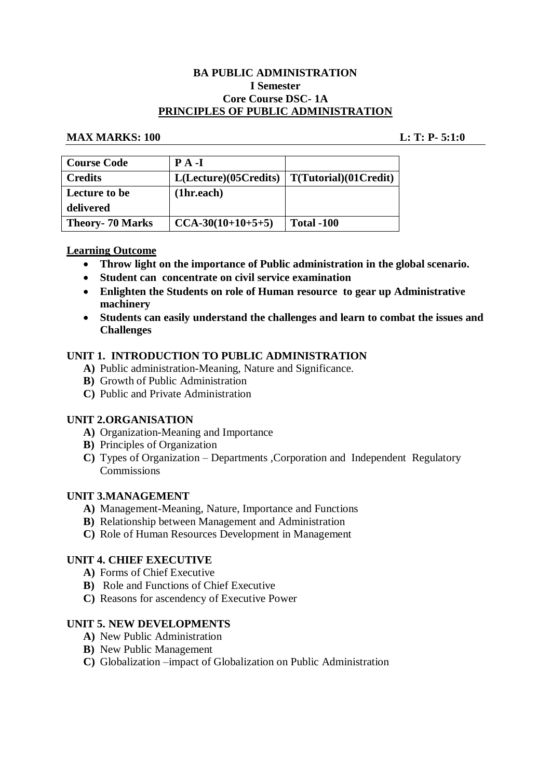#### **BA PUBLIC ADMINISTRATION I Semester Core Course DSC- 1A PRINCIPLES OF PUBLIC ADMINISTRATION**

#### **MAX MARKS: 100 L: T: P- 5:1:0**

| <b>Course Code</b>     | $P A - I$             |                       |
|------------------------|-----------------------|-----------------------|
| <b>Credits</b>         | L(Lecture)(05Credits) | T(Tutorial)(01Credit) |
| <b>Lecture to be</b>   | (1hr.each)            |                       |
| delivered              |                       |                       |
| <b>Theory-70 Marks</b> | $CCA-30(10+10+5+5)$   | <b>Total -100</b>     |

# **Learning Outcome**

- **Throw light on the importance of Public administration in the global scenario.**
- **Student can concentrate on civil service examination**
- **Enlighten the Students on role of Human resource to gear up Administrative machinery**
- **Students can easily understand the challenges and learn to combat the issues and Challenges**

#### **UNIT 1. INTRODUCTION TO PUBLIC ADMINISTRATION**

- **A)** Public administration-Meaning, Nature and Significance.
- **B)** Growth of Public Administration
- **C)** Public and Private Administration

# **UNIT 2.ORGANISATION**

- **A)** Organization-Meaning and Importance
- **B)** Principles of Organization
- **C)** Types of Organization Departments ,Corporation and Independent Regulatory **Commissions**

#### **UNIT 3.MANAGEMENT**

- **A)** Management-Meaning, Nature, Importance and Functions
- **B)** Relationship between Management and Administration
- **C)** Role of Human Resources Development in Management

#### **UNIT 4. CHIEF EXECUTIVE**

- **A)** Forms of Chief Executive
- **B)** Role and Functions of Chief Executive
- **C)** Reasons for ascendency of Executive Power

#### **UNIT 5. NEW DEVELOPMENTS**

- **A)** New Public Administration
- **B)** New Public Management
- **C)** Globalization –impact of Globalization on Public Administration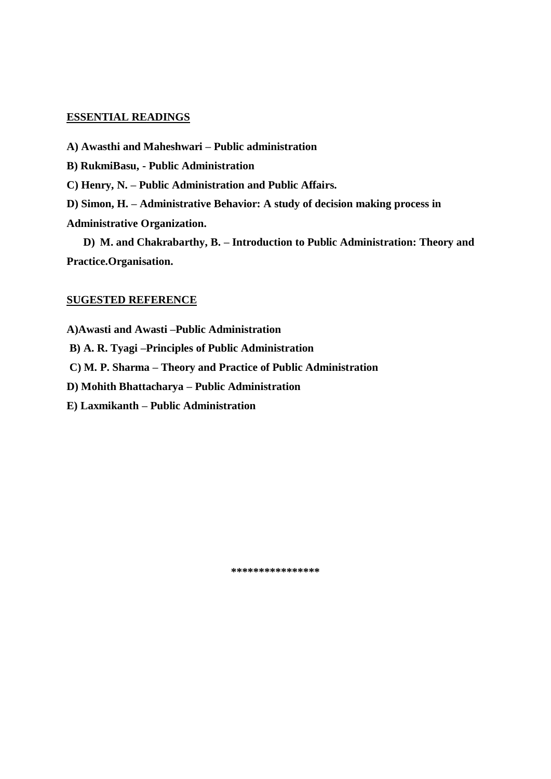- **A) Awasthi and Maheshwari – Public administration**
- **B) RukmiBasu, - Public Administration**
- **C) Henry, N. – Public Administration and Public Affairs.**
- **D) Simon, H. – Administrative Behavior: A study of decision making process in Administrative Organization.**

**D) M. and Chakrabarthy, B. – Introduction to Public Administration: Theory and Practice.Organisation.**

# **SUGESTED REFERENCE**

**A)Awasti and Awasti –Public Administration**

**B) A. R. Tyagi –Principles of Public Administration**

**C) M. P. Sharma – Theory and Practice of Public Administration**

**D) Mohith Bhattacharya – Public Administration**

**E) Laxmikanth – Public Administration**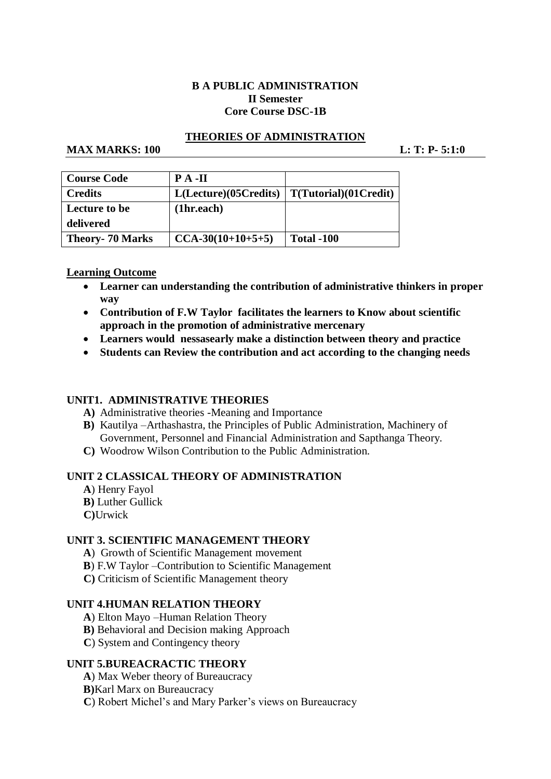# **B A PUBLIC ADMINISTRATION II Semester Core Course DSC-1B**

# **THEORIES OF ADMINISTRATION**

#### **MAX MARKS:** 100 **L: T: P-** 5:1:0

| Course Code             | $\mathbf{PA}$ -II    |                       |
|-------------------------|----------------------|-----------------------|
| Credits                 | L(Leture)(05Credits) | T(Tutorial)(01Credit) |
| Lecture to be           | (1hr.each)           |                       |
| delivered               |                      |                       |
| <b>Theory- 70 Marks</b> | $CCA-30(10+10+5+5)$  | <b>Total -100</b>     |

# **Learning Outcome**

- **Learner can understanding the contribution of administrative thinkers in proper way**
- **Contribution of F.W Taylor facilitates the learners to Know about scientific approach in the promotion of administrative mercenary**
- **Learners would nessasearly make a distinction between theory and practice**
- **Students can Review the contribution and act according to the changing needs**

# **UNIT1. ADMINISTRATIVE THEORIES**

- **A)** Administrative theories -Meaning and Importance
- **B)** Kautilya –Arthashastra, the Principles of Public Administration, Machinery of Government, Personnel and Financial Administration and Sapthanga Theory.
- **C)** Woodrow Wilson Contribution to the Public Administration.

#### **UNIT 2 CLASSICAL THEORY OF ADMINISTRATION**

- **A**) Henry Fayol
- **B)** Luther Gullick
- **C)**Urwick

# **UNIT 3. SCIENTIFIC MANAGEMENT THEORY**

- **A**) Growth of Scientific Management movement
- **B**) F.W Taylor –Contribution to Scientific Management
- **C)** Criticism of Scientific Management theory

#### **UNIT 4.HUMAN RELATION THEORY**

- **A**) Elton Mayo –Human Relation Theory
- **B)** Behavioral and Decision making Approach
- **C**) System and Contingency theory

# **UNIT 5.BUREACRACTIC THEORY**

- **A**) Max Weber theory of Bureaucracy
- **B)**Karl Marx on Bureaucracy
- **C**) Robert Michel's and Mary Parker's views on Bureaucracy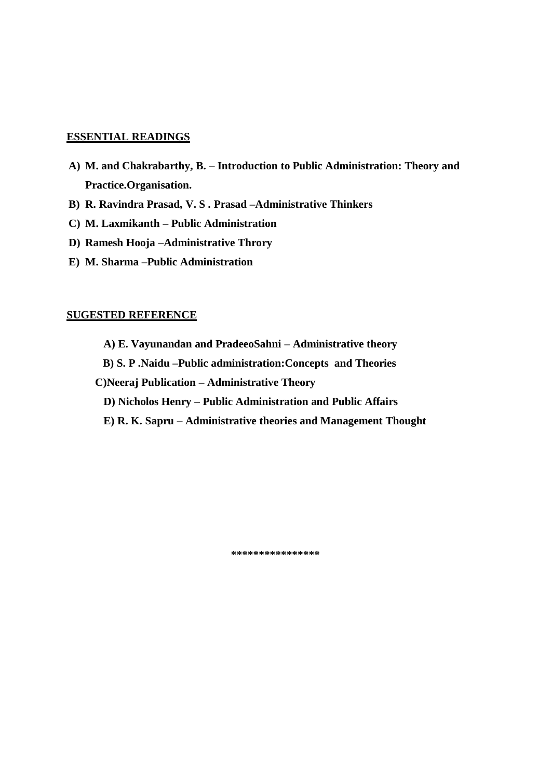- **A) M. and Chakrabarthy, B. – Introduction to Public Administration: Theory and Practice.Organisation.**
- **B) R. Ravindra Prasad, V. S . Prasad –Administrative Thinkers**
- **C) M. Laxmikanth – Public Administration**
- **D) Ramesh Hooja –Administrative Throry**
- **E) M. Sharma –Public Administration**

#### **SUGESTED REFERENCE**

- **A) E. Vayunandan and PradeeoSahni – Administrative theory**
- **B) S. P .Naidu –Public administration:Concepts and Theories**
- **C)Neeraj Publication – Administrative Theory**
	- **D) Nicholos Henry – Public Administration and Public Affairs**
	- **E) R. K. Sapru – Administrative theories and Management Thought**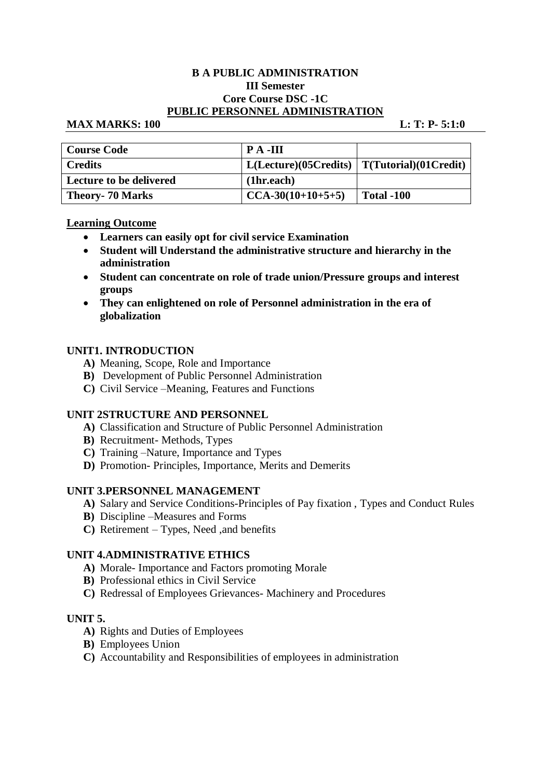#### **B A PUBLIC ADMINISTRATION III Semester Core Course DSC -1C PUBLIC PERSONNEL ADMINISTRATION**

#### **MAX MARKS: 100 L: T: P- 5:1:0**

| <b>Course Code</b>             | $\mathbf{P}$ A -III                                      |                   |
|--------------------------------|----------------------------------------------------------|-------------------|
| <b>Credits</b>                 | $L( \text{Lecture})$ (05Credits)   T(Tutorial)(01Credit) |                   |
| <b>Lecture to be delivered</b> | (1hr.each)                                               |                   |
| <b>Theory- 70 Marks</b>        | $CCA-30(10+10+5+5)$                                      | <b>Total -100</b> |

# **Learning Outcome**

- **Learners can easily opt for civil service Examination**
- **Student will Understand the administrative structure and hierarchy in the administration**
- **Student can concentrate on role of trade union/Pressure groups and interest groups**
- **They can enlightened on role of Personnel administration in the era of globalization**

# **UNIT1. INTRODUCTION**

- **A)** Meaning, Scope, Role and Importance
- **B)** Development of Public Personnel Administration
- **C)** Civil Service –Meaning, Features and Functions

# **UNIT 2STRUCTURE AND PERSONNEL**

- **A)** Classification and Structure of Public Personnel Administration
- **B)** Recruitment- Methods, Types
- **C)** Training –Nature, Importance and Types
- **D)** Promotion- Principles, Importance, Merits and Demerits

# **UNIT 3.PERSONNEL MANAGEMENT**

- **A)** Salary and Service Conditions-Principles of Pay fixation , Types and Conduct Rules
- **B)** Discipline –Measures and Forms
- **C)** Retirement Types, Need ,and benefits

# **UNIT 4.ADMINISTRATIVE ETHICS**

- **A)** Morale- Importance and Factors promoting Morale
- **B)** Professional ethics in Civil Service
- **C)** Redressal of Employees Grievances- Machinery and Procedures

# **UNIT 5.**

- **A)** Rights and Duties of Employees
- **B)** Employees Union
- **C)** Accountability and Responsibilities of employees in administration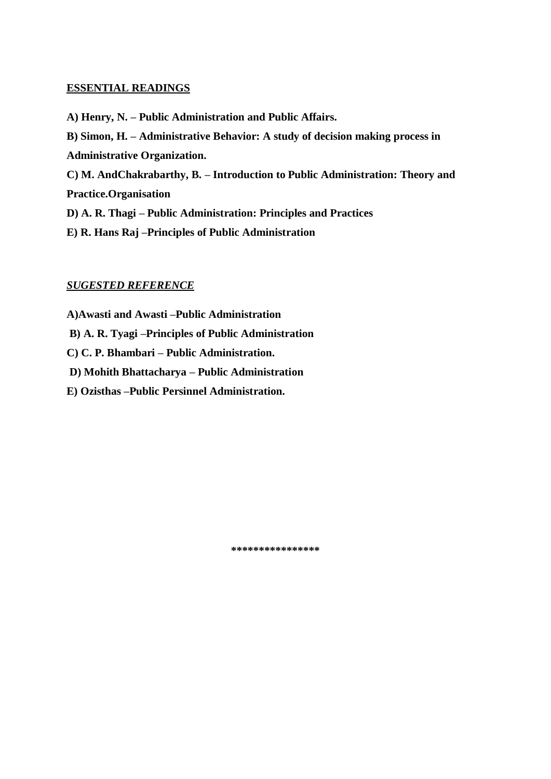- **A) Henry, N. – Public Administration and Public Affairs.**
- **B) Simon, H. – Administrative Behavior: A study of decision making process in Administrative Organization.**
- **C) M. AndChakrabarthy, B. – Introduction to Public Administration: Theory and Practice.Organisation**
- **D) A. R. Thagi – Public Administration: Principles and Practices**
- **E) R. Hans Raj –Principles of Public Administration**

# *SUGESTED REFERENCE*

**A)Awasti and Awasti –Public Administration**

**B) A. R. Tyagi –Principles of Public Administration**

**C) C. P. Bhambari – Public Administration.**

**D) Mohith Bhattacharya – Public Administration**

**E) Ozisthas –Public Persinnel Administration.**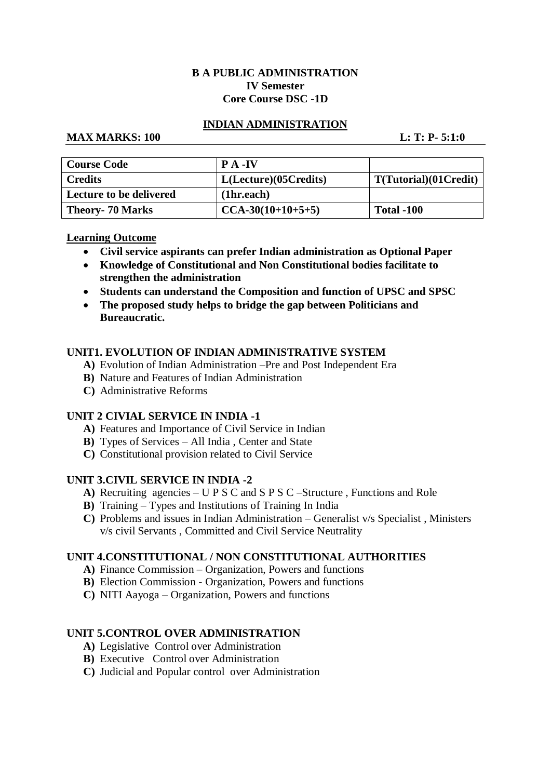# **B A PUBLIC ADMINISTRATION IV Semester Core Course DSC -1D**

# **INDIAN ADMINISTRATION**

# **MAX MARKS: 100 L: T: P- 5:1:0**

| <b>Course Code</b>             | $\mathbf{P} \mathbf{A}$ -IV |                       |
|--------------------------------|-----------------------------|-----------------------|
| <b>Credits</b>                 | L(Lecture)(05Credits)       | T(Tutorial)(01Credit) |
| <b>Lecture to be delivered</b> | (1hr.each)                  |                       |
| <b>Theory- 70 Marks</b>        | $CCA-30(10+10+5+5)$         | <b>Total -100</b>     |

#### **Learning Outcome**

- **Civil service aspirants can prefer Indian administration as Optional Paper**
- **Knowledge of Constitutional and Non Constitutional bodies facilitate to strengthen the administration**
- **Students can understand the Composition and function of UPSC and SPSC**
- **The proposed study helps to bridge the gap between Politicians and Bureaucratic.**

# **UNIT1. EVOLUTION OF INDIAN ADMINISTRATIVE SYSTEM**

- **A)** Evolution of Indian Administration –Pre and Post Independent Era
- **B)** Nature and Features of Indian Administration
- **C)** Administrative Reforms

# **UNIT 2 CIVIAL SERVICE IN INDIA -1**

- **A)** Features and Importance of Civil Service in Indian
- **B)** Types of Services All India , Center and State
- **C)** Constitutional provision related to Civil Service

# **UNIT 3.CIVIL SERVICE IN INDIA -2**

- **A)** Recruiting agencies U P S C and S P S C –Structure , Functions and Role
- **B)** Training Types and Institutions of Training In India
- **C)** Problems and issues in Indian Administration Generalist v/s Specialist , Ministers v/s civil Servants , Committed and Civil Service Neutrality

# **UNIT 4.CONSTITUTIONAL / NON CONSTITUTIONAL AUTHORITIES**

- **A)** Finance Commission Organization, Powers and functions
- **B)** Election Commission Organization, Powers and functions
- **C)** NITI Aayoga Organization, Powers and functions

# **UNIT 5.CONTROL OVER ADMINISTRATION**

- **A)** Legislative Control over Administration
- **B)** Executive Control over Administration
- **C)** Judicial and Popular control over Administration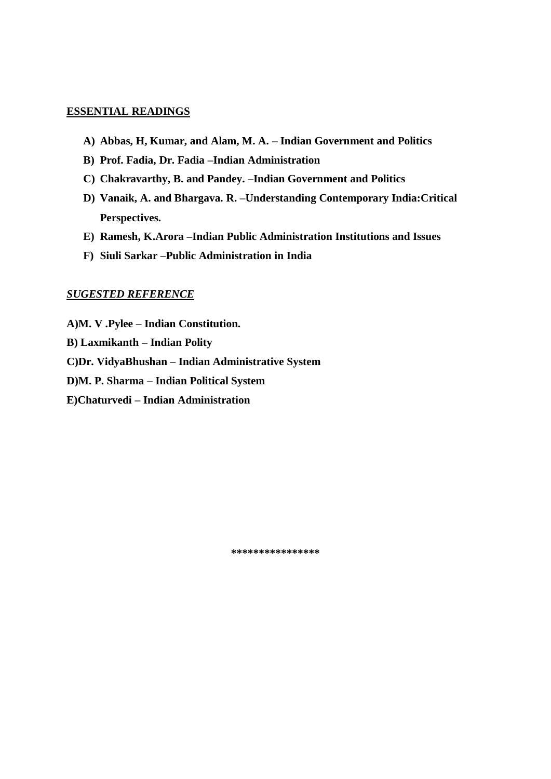- **A) Abbas, H, Kumar, and Alam, M. A. – Indian Government and Politics**
- **B) Prof. Fadia, Dr. Fadia –Indian Administration**
- **C) Chakravarthy, B. and Pandey. –Indian Government and Politics**
- **D) Vanaik, A. and Bhargava. R. –Understanding Contemporary India:Critical Perspectives.**
- **E) Ramesh, K.Arora –Indian Public Administration Institutions and Issues**
- **F) Siuli Sarkar –Public Administration in India**

#### *SUGESTED REFERENCE*

- **A)M. V .Pylee – Indian Constitution.**
- **B) Laxmikanth – Indian Polity**
- **C)Dr. VidyaBhushan – Indian Administrative System**
- **D)M. P. Sharma – Indian Political System**
- **E)Chaturvedi – Indian Administration**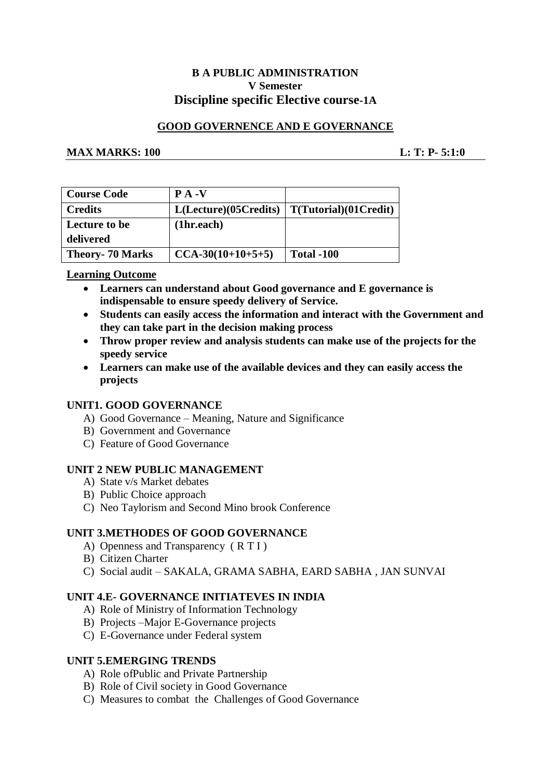# **B A PUBLIC ADMINISTRATION V Semester Discipline specific Elective course-1A**

# **GOOD GOVERNENCE AND E GOVERNANCE**

#### **MAX MARKS:** 100 **L: T: P- 5:1:0**

| <b>Course Code</b>      | $P A - V$             |                              |
|-------------------------|-----------------------|------------------------------|
| <b>Credits</b>          | L(Lecture)(05Credits) | $\mid T(Tutorial)(01Credit)$ |
| Lecture to be           | (1hr.each)            |                              |
| delivered               |                       |                              |
| <b>Theory- 70 Marks</b> | $CCA-30(10+10+5+5)$   | <b>Total -100</b>            |

#### **Learning Outcome**

- **Learners can understand about Good governance and E governance is indispensable to ensure speedy delivery of Service.**
- **Students can easily access the information and interact with the Government and they can take part in the decision making process**
- **Throw proper review and analysis students can make use of the projects for the speedy service**
- **Learners can make use of the available devices and they can easily access the projects**

# **UNIT1. GOOD GOVERNANCE**

- A) Good Governance Meaning, Nature and Significance
- B) Government and Governance
- C) Feature of Good Governance

#### **UNIT 2 NEW PUBLIC MANAGEMENT**

- A) State v/s Market debates
- B) Public Choice approach
- C) Neo Taylorism and Second Mino brook Conference

# **UNIT 3.METHODES OF GOOD GOVERNANCE**

- A) Openness and Transparency ( R T I )
- B) Citizen Charter
- C) Social audit SAKALA, GRAMA SABHA, EARD SABHA , JAN SUNVAI

#### **UNIT 4.E- GOVERNANCE INITIATEVES IN INDIA**

- A) Role of Ministry of Information Technology
- B) Projects –Major E-Governance projects
- C) E-Governance under Federal system

#### **UNIT 5.EMERGING TRENDS**

- A) Role ofPublic and Private Partnership
- B) Role of Civil society in Good Governance
- C) Measures to combat the Challenges of Good Governance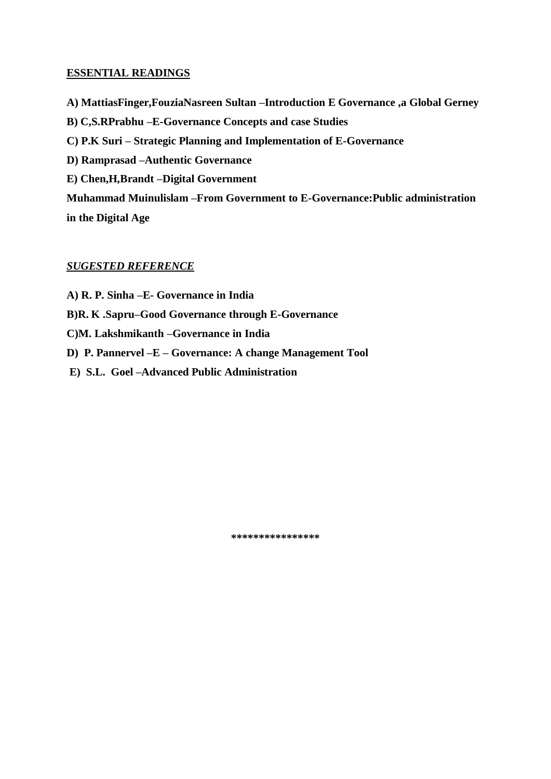- **A) MattiasFinger,FouziaNasreen Sultan –Introduction E Governance ,a Global Gerney**
- **B) C,S.RPrabhu –E-Governance Concepts and case Studies**
- **C) P.K Suri – Strategic Planning and Implementation of E-Governance**
- **D) Ramprasad –Authentic Governance**
- **E) Chen,H,Brandt –Digital Government**

**Muhammad Muinulislam –From Government to E-Governance:Public administration in the Digital Age**

# *SUGESTED REFERENCE*

- **A) R. P. Sinha –E- Governance in India**
- **B)R. K .Sapru–Good Governance through E-Governance**
- **C)M. Lakshmikanth –Governance in India**
- **D) P. Pannervel –E – Governance: A change Management Tool**
- **E) S.L. Goel –Advanced Public Administration**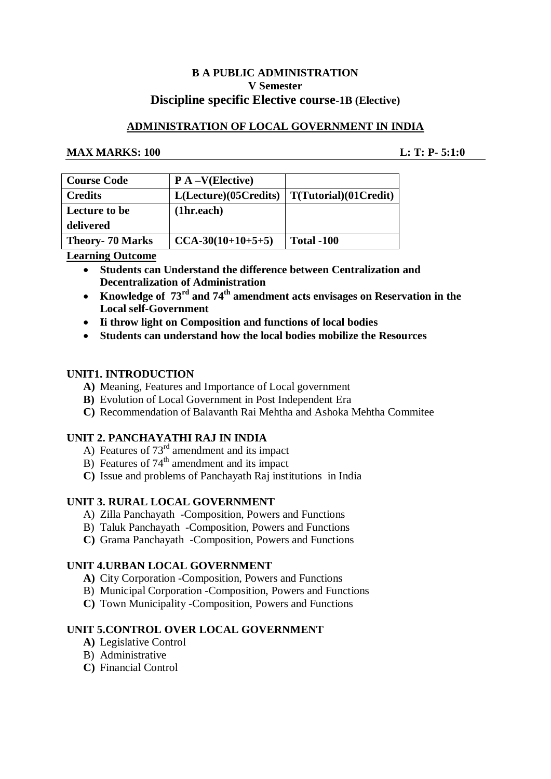# **B A PUBLIC ADMINISTRATION V Semester Discipline specific Elective course-1B (Elective)**

# **ADMINISTRATION OF LOCAL GOVERNMENT IN INDIA**

# **MAX MARKS: 100 L: T: P- 5:1:0**

| <b>Course Code</b>      | $P A - V (Electric)$  |                       |
|-------------------------|-----------------------|-----------------------|
| <b>Credits</b>          | L(Lecture)(05Credits) | T(Tutorial)(01Credit) |
| Lecture to be           | (1hr.each)            |                       |
| delivered               |                       |                       |
| <b>Theory- 70 Marks</b> | $CCA-30(10+10+5+5)$   | <b>Total -100</b>     |

**Learning Outcome** 

- **Students can Understand the difference between Centralization and Decentralization of Administration**
- **Knowledge of 73rd and 74th amendment acts envisages on Reservation in the Local self-Government**
- **Ii throw light on Composition and functions of local bodies**
- **Students can understand how the local bodies mobilize the Resources**

# **UNIT1. INTRODUCTION**

- **A)** Meaning, Features and Importance of Local government
- **B)** Evolution of Local Government in Post Independent Era
- **C)** Recommendation of Balavanth Rai Mehtha and Ashoka Mehtha Commitee

# **UNIT 2. PANCHAYATHI RAJ IN INDIA**

- A) Features of  $73<sup>rd</sup>$  amendment and its impact
- B) Features of  $74<sup>th</sup>$  amendment and its impact
- **C)** Issue and problems of Panchayath Raj institutions in India

# **UNIT 3. RURAL LOCAL GOVERNMENT**

- A) Zilla Panchayath -Composition, Powers and Functions
- B) Taluk Panchayath -Composition, Powers and Functions
- **C)** Grama Panchayath -Composition, Powers and Functions

# **UNIT 4.URBAN LOCAL GOVERNMENT**

- **A)** City Corporation -Composition, Powers and Functions
- B) Municipal Corporation -Composition, Powers and Functions
- **C)** Town Municipality -Composition, Powers and Functions

# **UNIT 5.CONTROL OVER LOCAL GOVERNMENT**

- **A)** Legislative Control
- B) Administrative
- **C)** Financial Control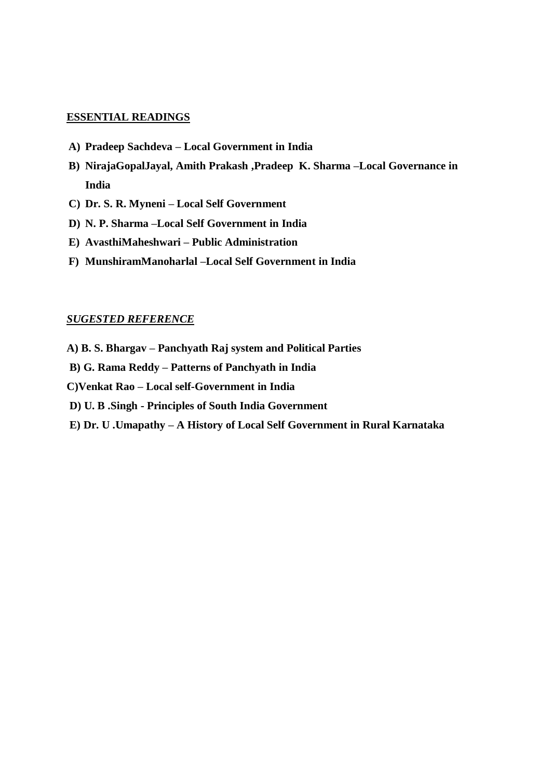- **A) Pradeep Sachdeva – Local Government in India**
- **B) NirajaGopalJayal, Amith Prakash ,Pradeep K. Sharma –Local Governance in India**
- **C) Dr. S. R. Myneni – Local Self Government**
- **D) N. P. Sharma –Local Self Government in India**
- **E) AvasthiMaheshwari – Public Administration**
- **F) MunshiramManoharlal –Local Self Government in India**

#### *SUGESTED REFERENCE*

- **A) B. S. Bhargav – Panchyath Raj system and Political Parties**
- **B) G. Rama Reddy – Patterns of Panchyath in India**
- **C)Venkat Rao – Local self-Government in India**
- **D) U. B .Singh - Principles of South India Government**
- **E) Dr. U .Umapathy – A History of Local Self Government in Rural Karnataka**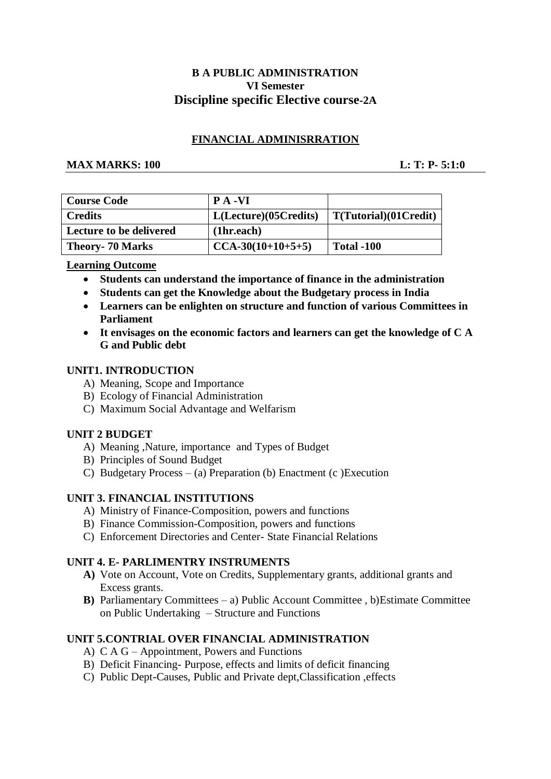# **B A PUBLIC ADMINISTRATION VI Semester Discipline specific Elective course-2A**

# **FINANCIAL ADMINISRRATION**

#### **MAX MARKS: 100 L: T: P- 5:1:0**

| <b>Course Code</b>             | <b>PA-VI</b>          |                       |
|--------------------------------|-----------------------|-----------------------|
| <b>Credits</b>                 | L(Lecture)(05Credits) | T(Tutorial)(01Credit) |
| <b>Lecture to be delivered</b> | (1hr.each)            |                       |
| <b>Theory- 70 Marks</b>        | $CCA-30(10+10+5+5)$   | <b>Total -100</b>     |

# **Learning Outcome**

- **Students can understand the importance of finance in the administration**
- **Students can get the Knowledge about the Budgetary process in India**
- **Learners can be enlighten on structure and function of various Committees in Parliament**
- **It envisages on the economic factors and learners can get the knowledge of C A G and Public debt**

# **UNIT1. INTRODUCTION**

- A) Meaning, Scope and Importance
- B) Ecology of Financial Administration
- C) Maximum Social Advantage and Welfarism

# **UNIT 2 BUDGET**

- A) Meaning ,Nature, importance and Types of Budget
- B) Principles of Sound Budget
- C) Budgetary Process (a) Preparation (b) Enactment (c )Execution

# **UNIT 3. FINANCIAL INSTITUTIONS**

- A) Ministry of Finance-Composition, powers and functions
- B) Finance Commission-Composition, powers and functions
- C) Enforcement Directories and Center- State Financial Relations

# **UNIT 4. E- PARLIMENTRY INSTRUMENTS**

- **A)** Vote on Account, Vote on Credits, Supplementary grants, additional grants and Excess grants.
- **B**) Parliamentary Committees a) Public Account Committee, b) Estimate Committee on Public Undertaking – Structure and Functions

# **UNIT 5.CONTRIAL OVER FINANCIAL ADMINISTRATION**

- A) C A G Appointment, Powers and Functions
- B) Deficit Financing- Purpose, effects and limits of deficit financing
- C) Public Dept-Causes, Public and Private dept,Classification ,effects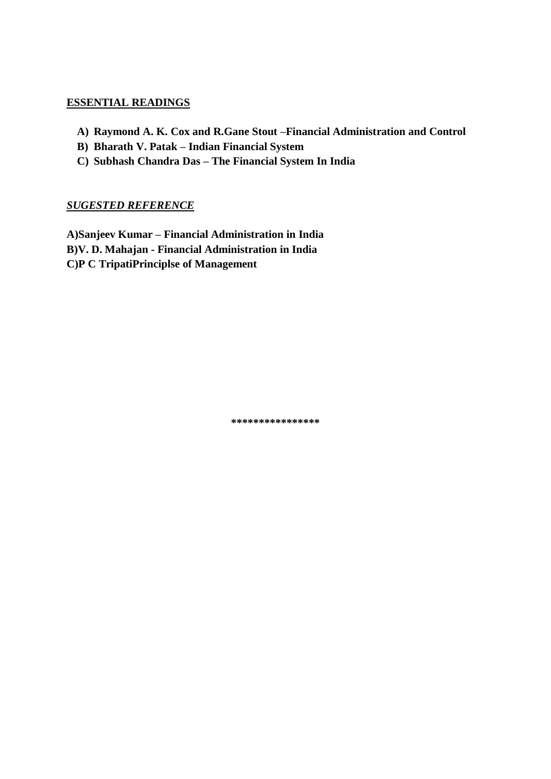- **A) Raymond A. K. Cox and R.Gane Stout –Financial Administration and Control**
- **B) Bharath V. Patak – Indian Financial System**
- **C) Subhash Chandra Das – The Financial System In India**

# *SUGESTED REFERENCE*

**A)Sanjeev Kumar – Financial Administration in India B)V. D. Mahajan - Financial Administration in India C)P C TripatiPrinciplse of Management**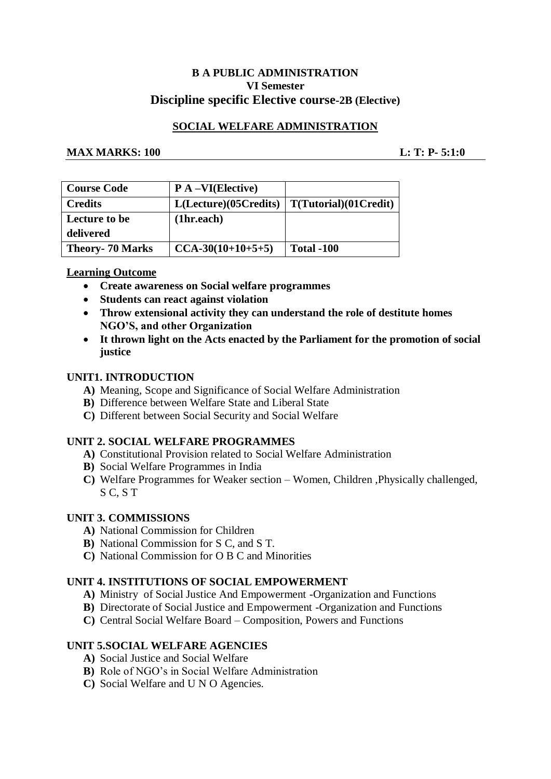# **B A PUBLIC ADMINISTRATION VI Semester Discipline specific Elective course-2B (Elective)**

# **SOCIAL WELFARE ADMINISTRATION**

# **MAX MARKS:** 100 **L: T: P- 5:1:0**

| <b>Course Code</b>      | $P A - VI(Electric)$  |                       |
|-------------------------|-----------------------|-----------------------|
| <b>Credits</b>          | L(Lecture)(05Credits) | T(Tutorial)(01Credit) |
| Lecture to be           | (1hr.each)            |                       |
| delivered               |                       |                       |
| <b>Theory- 70 Marks</b> | $CCA-30(10+10+5+5)$   | <b>Total -100</b>     |

# **Learning Outcome**

- **Create awareness on Social welfare programmes**
- **Students can react against violation**
- **Throw extensional activity they can understand the role of destitute homes NGO'S, and other Organization**
- **It thrown light on the Acts enacted by the Parliament for the promotion of social justice**

# **UNIT1. INTRODUCTION**

- **A)** Meaning, Scope and Significance of Social Welfare Administration
- **B)** Difference between Welfare State and Liberal State
- **C)** Different between Social Security and Social Welfare

# **UNIT 2. SOCIAL WELFARE PROGRAMMES**

- **A)** Constitutional Provision related to Social Welfare Administration
- **B)** Social Welfare Programmes in India
- **C)** Welfare Programmes for Weaker section Women, Children ,Physically challenged, S C, S T

# **UNIT 3. COMMISSIONS**

- **A)** National Commission for Children
- **B)** National Commission for S C, and S T.
- **C)** National Commission for O B C and Minorities

# **UNIT 4. INSTITUTIONS OF SOCIAL EMPOWERMENT**

- **A)** Ministry of Social Justice And Empowerment -Organization and Functions
- **B)** Directorate of Social Justice and Empowerment -Organization and Functions
- **C)** Central Social Welfare Board Composition, Powers and Functions

# **UNIT 5.SOCIAL WELFARE AGENCIES**

- **A)** Social Justice and Social Welfare
- **B)** Role of NGO's in Social Welfare Administration
- **C)** Social Welfare and U N O Agencies.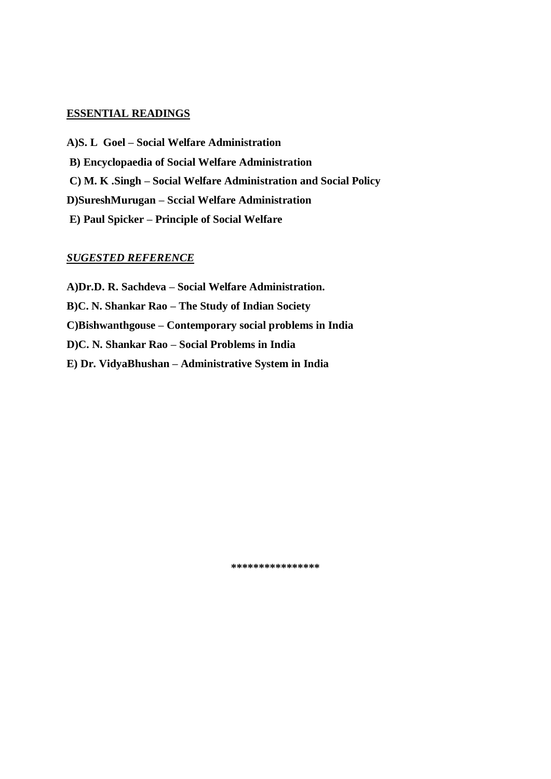**A)S. L Goel – Social Welfare Administration B) Encyclopaedia of Social Welfare Administration C) M. K .Singh – Social Welfare Administration and Social Policy D)SureshMurugan – Sccial Welfare Administration E) Paul Spicker – Principle of Social Welfare**

#### *SUGESTED REFERENCE*

**A)Dr.D. R. Sachdeva – Social Welfare Administration. B)C. N. Shankar Rao – The Study of Indian Society C)Bishwanthgouse – Contemporary social problems in India D)C. N. Shankar Rao – Social Problems in India E) Dr. VidyaBhushan – Administrative System in India**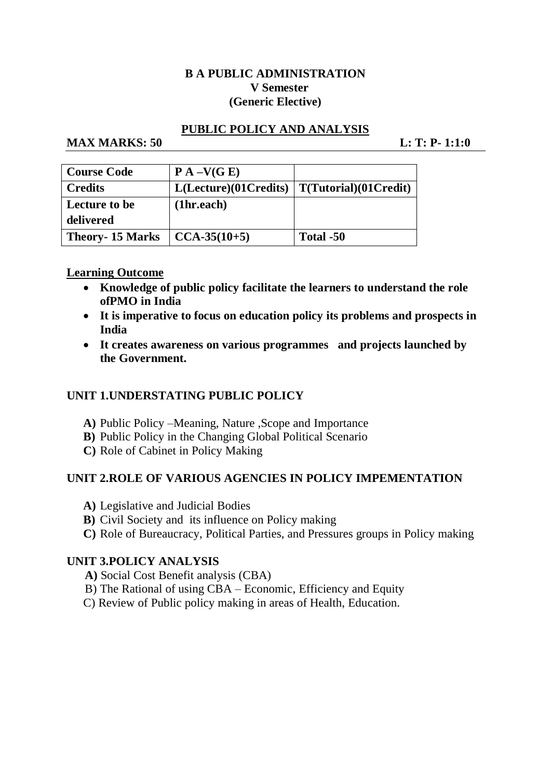# **B A PUBLIC ADMINISTRATION V Semester (Generic Elective)**

# **PUBLIC POLICY AND ANALYSIS**

# **MAX MARKS: 50 L: T: P- 1:1:0**

| <b>Course Code</b>     | $P A - V(G E)$       |                               |
|------------------------|----------------------|-------------------------------|
| <b>Credits</b>         | L(Leture)(01Credits) | $\vert$ T(Tutorial)(01Credit) |
| Lecture to be          | (1hr.each)           |                               |
| delivered              |                      |                               |
| <b>Theory-15 Marks</b> | $\vert$ CCA-35(10+5) | Total -50                     |

# **Learning Outcome**

- **Knowledge of public policy facilitate the learners to understand the role ofPMO in India**
- **It is imperative to focus on education policy its problems and prospects in India**
- **It creates awareness on various programmes and projects launched by the Government.**

# **UNIT 1.UNDERSTATING PUBLIC POLICY**

- **A)** Public Policy –Meaning, Nature ,Scope and Importance
- **B)** Public Policy in the Changing Global Political Scenario
- **C)** Role of Cabinet in Policy Making

# **UNIT 2.ROLE OF VARIOUS AGENCIES IN POLICY IMPEMENTATION**

- **A)** Legislative and Judicial Bodies
- **B)** Civil Society and its influence on Policy making
- **C)** Role of Bureaucracy, Political Parties, and Pressures groups in Policy making

# **UNIT 3.POLICY ANALYSIS**

- **A)** Social Cost Benefit analysis (CBA)
- B) The Rational of using CBA Economic, Efficiency and Equity
- C) Review of Public policy making in areas of Health, Education.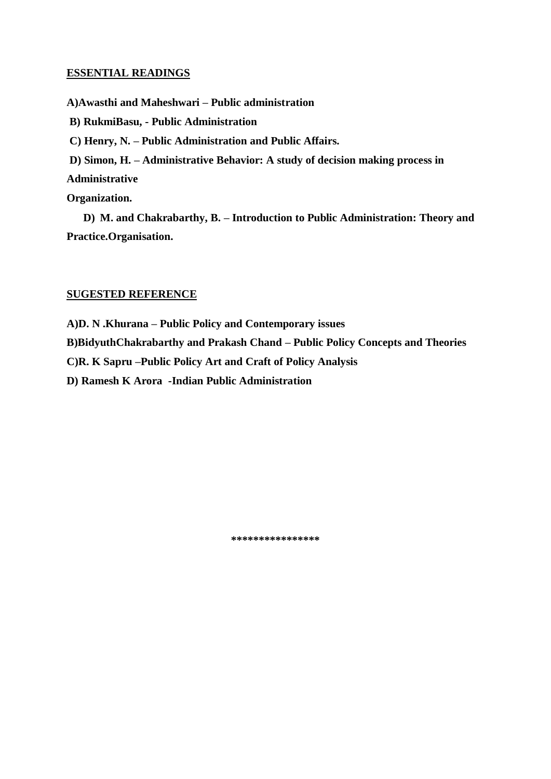**A)Awasthi and Maheshwari – Public administration**

**B) RukmiBasu, - Public Administration**

**C) Henry, N. – Public Administration and Public Affairs.**

**D) Simon, H. – Administrative Behavior: A study of decision making process in** 

**Administrative** 

**Organization.**

**D) M. and Chakrabarthy, B. – Introduction to Public Administration: Theory and Practice.Organisation.**

#### **SUGESTED REFERENCE**

**A)D. N .Khurana – Public Policy and Contemporary issues**

**B)BidyuthChakrabarthy and Prakash Chand – Public Policy Concepts and Theories**

**C)R. K Sapru –Public Policy Art and Craft of Policy Analysis**

**D) Ramesh K Arora -Indian Public Administration**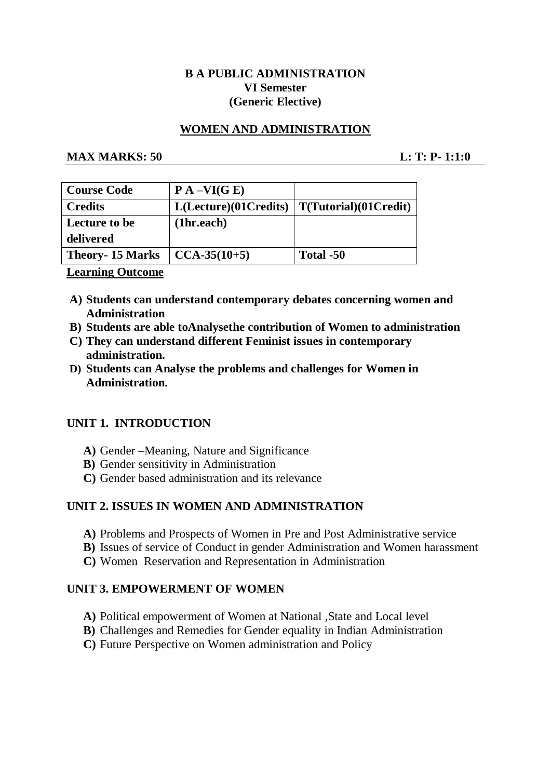# **B A PUBLIC ADMINISTRATION VI Semester (Generic Elective)**

# **WOMEN AND ADMINISTRATION**

# **MAX MARKS: 50 L: T: P- 1:1:0**

| <b>Course Code</b>     | $P A - VI(G E)$      |                       |
|------------------------|----------------------|-----------------------|
| <b>Credits</b>         | L(Leture)(01Credits) | T(Tutorial)(01Credit) |
| Lecture to be          | (1hr.each)           |                       |
| delivered              |                      |                       |
| <b>Theory-15 Marks</b> | $CCA-35(10+5)$       | Total -50             |
|                        |                      |                       |

# **Learning Outcome**

- **A) Students can understand contemporary debates concerning women and Administration**
- **B) Students are able toAnalysethe contribution of Women to administration**
- **C) They can understand different Feminist issues in contemporary administration.**
- **D) Students can Analyse the problems and challenges for Women in Administration.**

# **UNIT 1. INTRODUCTION**

- **A)** Gender –Meaning, Nature and Significance
- **B)** Gender sensitivity in Administration
- **C)** Gender based administration and its relevance

# **UNIT 2. ISSUES IN WOMEN AND ADMINISTRATION**

- **A)** Problems and Prospects of Women in Pre and Post Administrative service
- **B)** Issues of service of Conduct in gender Administration and Women harassment
- **C)** Women Reservation and Representation in Administration

# **UNIT 3. EMPOWERMENT OF WOMEN**

- **A)** Political empowerment of Women at National ,State and Local level
- **B)** Challenges and Remedies for Gender equality in Indian Administration
- **C)** Future Perspective on Women administration and Policy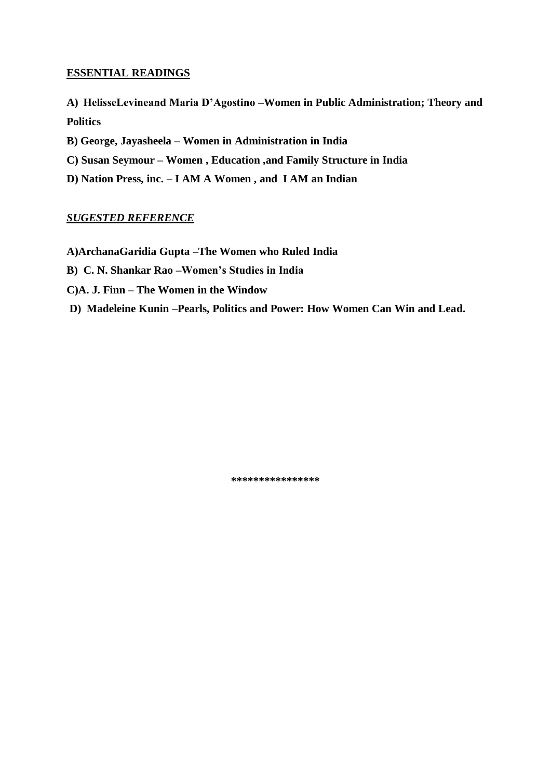- **A) HelisseLevineand Maria D'Agostino –Women in Public Administration; Theory and Politics**
- **B) George, Jayasheela – Women in Administration in India**
- **C) Susan Seymour – Women , Education ,and Family Structure in India**
- **D) Nation Press, inc. – I AM A Women , and I AM an Indian**

# *SUGESTED REFERENCE*

- **A)ArchanaGaridia Gupta –The Women who Ruled India**
- **B) C. N. Shankar Rao –Women's Studies in India**
- **C)A. J. Finn – The Women in the Window**
- **D) Madeleine Kunin –Pearls, Politics and Power: How Women Can Win and Lead.**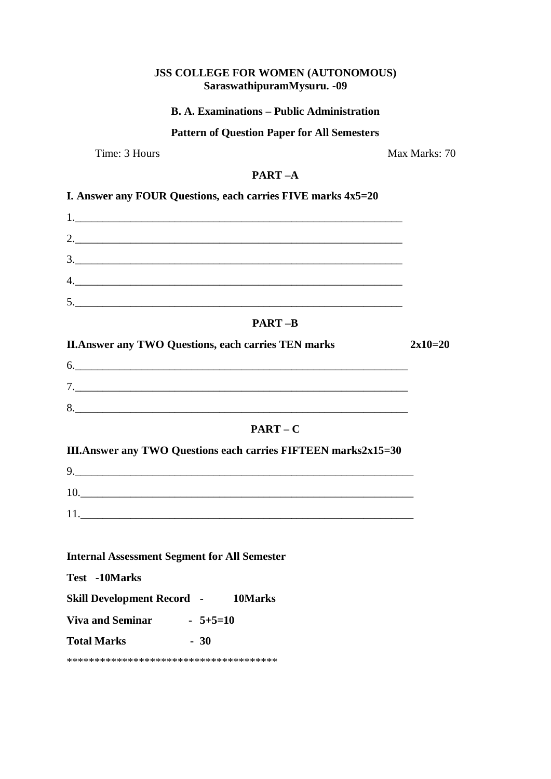| JSS COLLEGE FOR WOMEN (AUTONOMOUS)<br>SaraswathipuramMysuru. - 09                                                                                                                                                                                                                                                                                                                                                                                                                                                      |               |
|------------------------------------------------------------------------------------------------------------------------------------------------------------------------------------------------------------------------------------------------------------------------------------------------------------------------------------------------------------------------------------------------------------------------------------------------------------------------------------------------------------------------|---------------|
| <b>B. A. Examinations – Public Administration</b>                                                                                                                                                                                                                                                                                                                                                                                                                                                                      |               |
| <b>Pattern of Question Paper for All Semesters</b>                                                                                                                                                                                                                                                                                                                                                                                                                                                                     |               |
| Time: 3 Hours                                                                                                                                                                                                                                                                                                                                                                                                                                                                                                          | Max Marks: 70 |
| $PART-A$                                                                                                                                                                                                                                                                                                                                                                                                                                                                                                               |               |
| I. Answer any FOUR Questions, each carries FIVE marks 4x5=20                                                                                                                                                                                                                                                                                                                                                                                                                                                           |               |
|                                                                                                                                                                                                                                                                                                                                                                                                                                                                                                                        |               |
|                                                                                                                                                                                                                                                                                                                                                                                                                                                                                                                        |               |
|                                                                                                                                                                                                                                                                                                                                                                                                                                                                                                                        |               |
|                                                                                                                                                                                                                                                                                                                                                                                                                                                                                                                        |               |
| 5.                                                                                                                                                                                                                                                                                                                                                                                                                                                                                                                     |               |
| <b>PART-B</b>                                                                                                                                                                                                                                                                                                                                                                                                                                                                                                          |               |
| <b>II. Answer any TWO Questions, each carries TEN marks</b>                                                                                                                                                                                                                                                                                                                                                                                                                                                            | $2x10=20$     |
| $\begin{array}{c} \n0. & \quad \text{if} \quad \text{if} \quad \text{if} \quad \text{if} \quad \text{if} \quad \text{if} \quad \text{if} \quad \text{if} \quad \text{if} \quad \text{if} \quad \text{if} \quad \text{if} \quad \text{if} \quad \text{if} \quad \text{if} \quad \text{if} \quad \text{if} \quad \text{if} \quad \text{if} \quad \text{if} \quad \text{if} \quad \text{if} \quad \text{if} \quad \text{if} \quad \text{if} \quad \text{if} \quad \text{if} \quad \text{if} \quad \text{if} \quad \text{$ |               |
|                                                                                                                                                                                                                                                                                                                                                                                                                                                                                                                        |               |
|                                                                                                                                                                                                                                                                                                                                                                                                                                                                                                                        |               |
| $PART - C$                                                                                                                                                                                                                                                                                                                                                                                                                                                                                                             |               |
| <b>III.Answer any TWO Questions each carries FIFTEEN marks2x15=30</b>                                                                                                                                                                                                                                                                                                                                                                                                                                                  |               |
| 9.                                                                                                                                                                                                                                                                                                                                                                                                                                                                                                                     |               |
| 10.                                                                                                                                                                                                                                                                                                                                                                                                                                                                                                                    |               |
|                                                                                                                                                                                                                                                                                                                                                                                                                                                                                                                        |               |
|                                                                                                                                                                                                                                                                                                                                                                                                                                                                                                                        |               |
| <b>Internal Assessment Segment for All Semester</b>                                                                                                                                                                                                                                                                                                                                                                                                                                                                    |               |
| Test -10Marks                                                                                                                                                                                                                                                                                                                                                                                                                                                                                                          |               |
| <b>Skill Development Record - 10Marks</b>                                                                                                                                                                                                                                                                                                                                                                                                                                                                              |               |
| Viva and Seminar $5+5=10$                                                                                                                                                                                                                                                                                                                                                                                                                                                                                              |               |
| <b>Total Marks</b><br>$-30$                                                                                                                                                                                                                                                                                                                                                                                                                                                                                            |               |
|                                                                                                                                                                                                                                                                                                                                                                                                                                                                                                                        |               |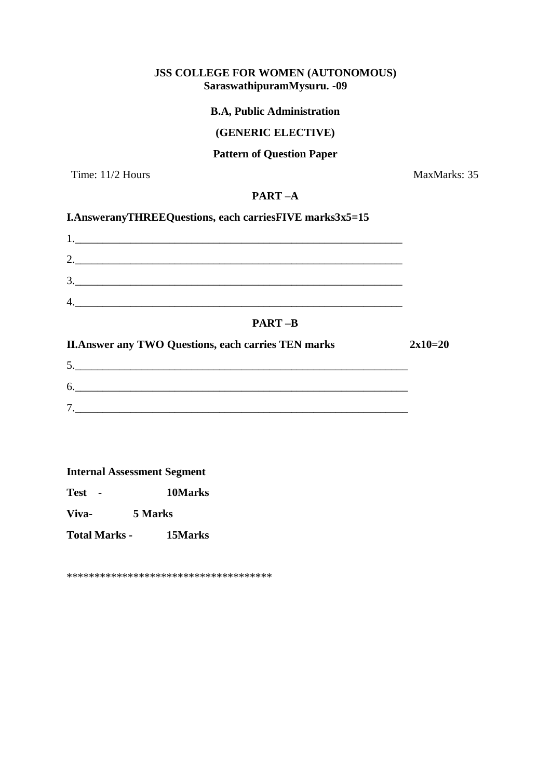# **JSS COLLEGE FOR WOMEN (AUTONOMOUS) SaraswathipuramMysuru. -09**

# **B.A, Public Administration**

# **(GENERIC ELECTIVE)**

# **Pattern of Question Paper**

Time: 11/2 Hours MaxMarks: 35

# **PART –A**

# **I.AnsweranyTHREEQuestions, each carriesFIVE marks3x5=15**

| л.      |               |  |
|---------|---------------|--|
| ി<br>∠. |               |  |
| 3       |               |  |
| 4       |               |  |
|         | <b>PART-B</b> |  |

| <b>II. Answer any TWO Questions, each carries TEN marks</b> | $2x10=20$ |
|-------------------------------------------------------------|-----------|
|                                                             |           |
| 6.                                                          |           |
| Ξ.                                                          |           |

#### **Internal Assessment Segment**

**Test - 10Marks**

**Viva- 5 Marks**

**Total Marks - 15Marks** 

\*\*\*\*\*\*\*\*\*\*\*\*\*\*\*\*\*\*\*\*\*\*\*\*\*\*\*\*\*\*\*\*\*\*\*\*\*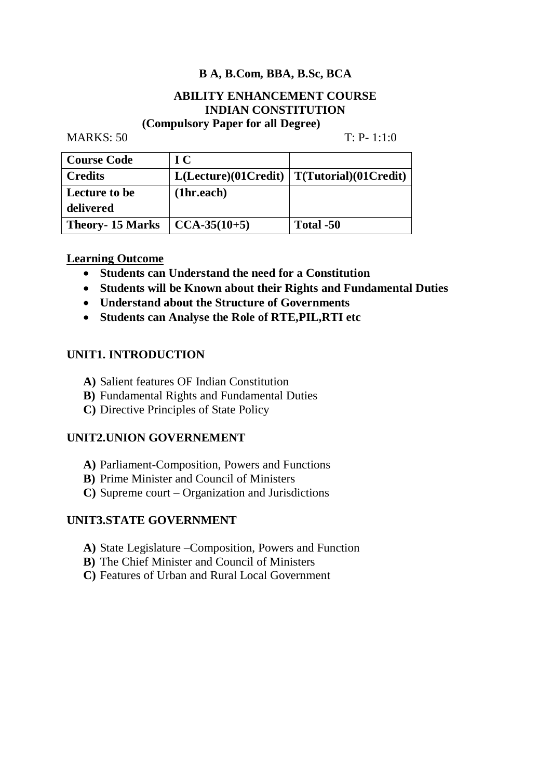# **B A, B.Com, BBA, B.Sc, BCA**

# **ABILITY ENHANCEMENT COURSE INDIAN CONSTITUTION**

# **(Compulsory Paper for all Degree)**

MARKS: 50 T: P- 1:1:0

| <b>Course Code</b>     | $\bf{IC}$        |                                               |
|------------------------|------------------|-----------------------------------------------|
| <b>Credits</b>         |                  | $L(Leture)(01Credit)   T(Tutorial)(01Credit)$ |
| <b>Lecture to be</b>   | (1hr.each)       |                                               |
| delivered              |                  |                                               |
| <b>Theory-15 Marks</b> | $ CCA-35(10+5) $ | Total -50                                     |

# **Learning Outcome**

- **Students can Understand the need for a Constitution**
- **Students will be Known about their Rights and Fundamental Duties**
- **Understand about the Structure of Governments**
- **Students can Analyse the Role of RTE,PIL,RTI etc**

# **UNIT1. INTRODUCTION**

- **A)** Salient features OF Indian Constitution
- **B)** Fundamental Rights and Fundamental Duties
- **C)** Directive Principles of State Policy

# **UNIT2.UNION GOVERNEMENT**

- **A)** Parliament-Composition, Powers and Functions
- **B)** Prime Minister and Council of Ministers
- **C)** Supreme court Organization and Jurisdictions

# **UNIT3.STATE GOVERNMENT**

- **A)** State Legislature –Composition, Powers and Function
- **B)** The Chief Minister and Council of Ministers
- **C)** Features of Urban and Rural Local Government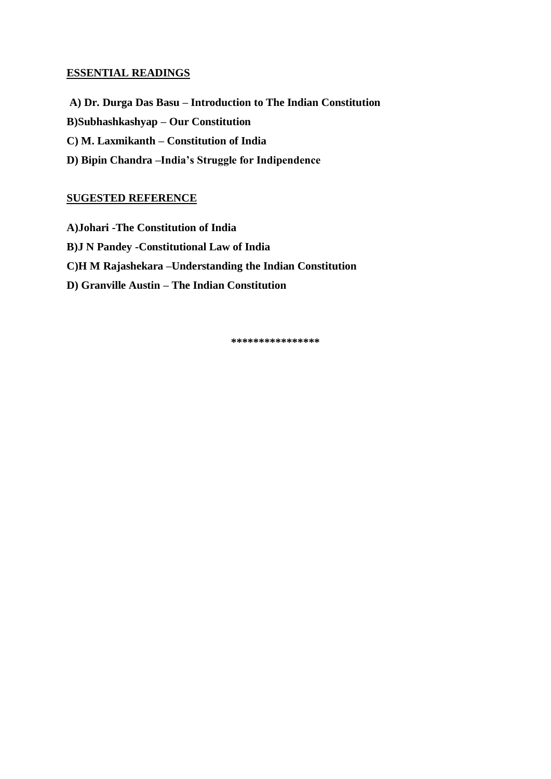**A) Dr. Durga Das Basu – Introduction to The Indian Constitution B)Subhashkashyap – Our Constitution C) M. Laxmikanth – Constitution of India D) Bipin Chandra –India's Struggle for Indipendence**

# **SUGESTED REFERENCE**

**A)Johari -The Constitution of India B)J N Pandey -Constitutional Law of India C)H M Rajashekara –Understanding the Indian Constitution D) Granville Austin – The Indian Constitution**